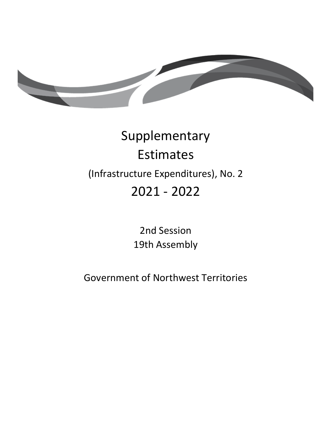

# Supplementary Estimates (Infrastructure Expenditures), No. 2 2021 - 2022

2nd Session 19th Assembly

Government of Northwest Territories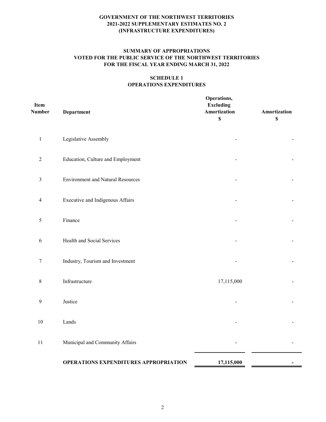# **SUMMARY OF APPROPRIATIONS VOTED FOR THE PUBLIC SERVICE OF THE NORTHWEST TERRITORIES FOR THE FISCAL YEAR ENDING MARCH 31, 2022**

# **SCHEDULE 1 OPERATIONS EXPENDITURES**

| Item<br>Number   | Department                                   | Operations,<br><b>Excluding</b><br>Amortization<br>$\mathbb{S}$ | Amortization<br>$\boldsymbol{\mathsf{S}}$ |
|------------------|----------------------------------------------|-----------------------------------------------------------------|-------------------------------------------|
| $\mathbf 1$      | Legislative Assembly                         |                                                                 |                                           |
| $\sqrt{2}$       | Education, Culture and Employment            |                                                                 |                                           |
| $\mathfrak{Z}$   | <b>Environment and Natural Resources</b>     |                                                                 |                                           |
| $\overline{4}$   | Executive and Indigenous Affairs             |                                                                 |                                           |
| $\sqrt{5}$       | Finance                                      |                                                                 |                                           |
| 6                | Health and Social Services                   |                                                                 |                                           |
| $\tau$           | Industry, Tourism and Investment             |                                                                 |                                           |
| $\,8\,$          | Infrastructure                               | 17,115,000                                                      |                                           |
| $\boldsymbol{9}$ | Justice                                      |                                                                 |                                           |
| 10               | Lands                                        |                                                                 |                                           |
| $11\,$           | Municipal and Community Affairs              |                                                                 |                                           |
|                  | <b>OPERATIONS EXPENDITURES APPROPRIATION</b> | 17,115,000                                                      | $\overline{\phantom{0}}$                  |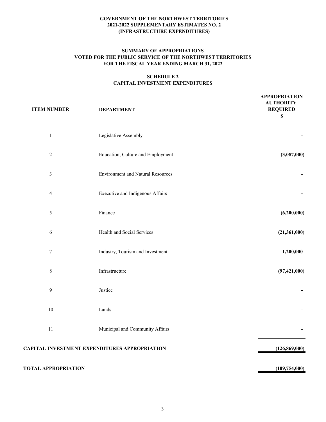## **SUMMARY OF APPROPRIATIONS VOTED FOR THE PUBLIC SERVICE OF THE NORTHWEST TERRITORIES FOR THE FISCAL YEAR ENDING MARCH 31, 2022**

## **SCHEDULE 2 CAPITAL INVESTMENT EXPENDITURES**

| <b>ITEM NUMBER</b> | <b>DEPARTMENT</b>                             | <b>APPROPRIATION</b><br><b>AUTHORITY</b><br><b>REQUIRED</b><br>\$ |
|--------------------|-----------------------------------------------|-------------------------------------------------------------------|
| $\mathbf{1}$       | Legislative Assembly                          |                                                                   |
| $\sqrt{2}$         | Education, Culture and Employment             | (3,087,000)                                                       |
| $\mathfrak{Z}$     | <b>Environment and Natural Resources</b>      |                                                                   |
| $\overline{4}$     | Executive and Indigenous Affairs              |                                                                   |
| $\mathfrak{H}$     | Finance                                       | (6,200,000)                                                       |
| 6                  | Health and Social Services                    | (21,361,000)                                                      |
| $\boldsymbol{7}$   | Industry, Tourism and Investment              | 1,200,000                                                         |
| $8\,$              | Infrastructure                                | (97, 421, 000)                                                    |
| $\overline{9}$     | Justice                                       |                                                                   |
| 10                 | Lands                                         |                                                                   |
| $11\,$             | Municipal and Community Affairs               |                                                                   |
|                    | CAPITAL INVESTMENT EXPENDITURES APPROPRIATION | (126, 869, 000)                                                   |
|                    |                                               |                                                                   |

# **TOTAL APPROPRIATION (109,754,000)**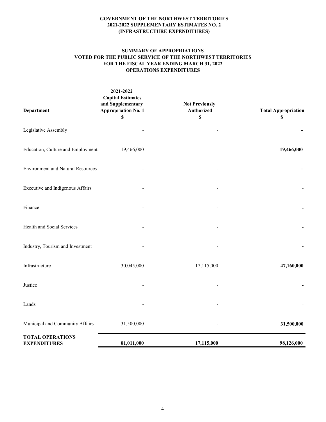### **SUMMARY OF APPROPRIATIONS VOTED FOR THE PUBLIC SERVICE OF THE NORTHWEST TERRITORIES FOR THE FISCAL YEAR ENDING MARCH 31, 2022 OPERATIONS EXPENDITURES**

| Department                                     | 2021-2022<br><b>Capital Estimates</b><br>and Supplementary<br><b>Appropriation No. 1</b> | <b>Not Previously</b><br><b>Authorized</b> | <b>Total Appropriation</b> |
|------------------------------------------------|------------------------------------------------------------------------------------------|--------------------------------------------|----------------------------|
|                                                | \$                                                                                       | \$                                         | \$                         |
| Legislative Assembly                           |                                                                                          |                                            |                            |
| Education, Culture and Employment              | 19,466,000                                                                               |                                            | 19,466,000                 |
| <b>Environment and Natural Resources</b>       |                                                                                          |                                            |                            |
| Executive and Indigenous Affairs               |                                                                                          |                                            |                            |
| Finance                                        |                                                                                          |                                            |                            |
| Health and Social Services                     |                                                                                          |                                            |                            |
| Industry, Tourism and Investment               |                                                                                          |                                            |                            |
| Infrastructure                                 | 30,045,000                                                                               | 17,115,000                                 | 47,160,000                 |
| Justice                                        |                                                                                          |                                            |                            |
| Lands                                          |                                                                                          |                                            |                            |
| Municipal and Community Affairs                | 31,500,000                                                                               |                                            | 31,500,000                 |
| <b>TOTAL OPERATIONS</b><br><b>EXPENDITURES</b> | 81,011,000                                                                               | 17,115,000                                 | 98,126,000                 |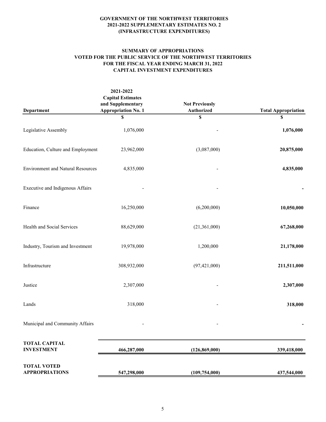#### **SUMMARY OF APPROPRIATIONS VOTED FOR THE PUBLIC SERVICE OF THE NORTHWEST TERRITORIES FOR THE FISCAL YEAR ENDING MARCH 31, 2022 CAPITAL INVESTMENT EXPENDITURES**

| Department                                  | 2021-2022<br><b>Capital Estimates</b><br>and Supplementary<br><b>Appropriation No. 1</b> | <b>Not Previously</b><br>Authorized | <b>Total Appropriation</b> |
|---------------------------------------------|------------------------------------------------------------------------------------------|-------------------------------------|----------------------------|
|                                             | \$                                                                                       | \$                                  | \$                         |
| Legislative Assembly                        | 1,076,000                                                                                |                                     | 1,076,000                  |
| Education, Culture and Employment           | 23,962,000                                                                               | (3,087,000)                         | 20,875,000                 |
| <b>Environment and Natural Resources</b>    | 4,835,000                                                                                |                                     | 4,835,000                  |
| Executive and Indigenous Affairs            |                                                                                          |                                     |                            |
| Finance                                     | 16,250,000                                                                               | (6,200,000)                         | 10,050,000                 |
| Health and Social Services                  | 88,629,000                                                                               | (21,361,000)                        | 67,268,000                 |
| Industry, Tourism and Investment            | 19,978,000                                                                               | 1,200,000                           | 21,178,000                 |
| Infrastructure                              | 308,932,000                                                                              | (97, 421, 000)                      | 211,511,000                |
| Justice                                     | 2,307,000                                                                                |                                     | 2,307,000                  |
| Lands                                       | 318,000                                                                                  |                                     | 318,000                    |
| Municipal and Community Affairs             |                                                                                          |                                     |                            |
| <b>TOTAL CAPITAL</b><br><b>INVESTMENT</b>   | 466,287,000                                                                              | (126, 869, 000)                     | 339,418,000                |
| <b>TOTAL VOTED</b><br><b>APPROPRIATIONS</b> | 547,298,000                                                                              | (109, 754, 000)                     | 437,544,000                |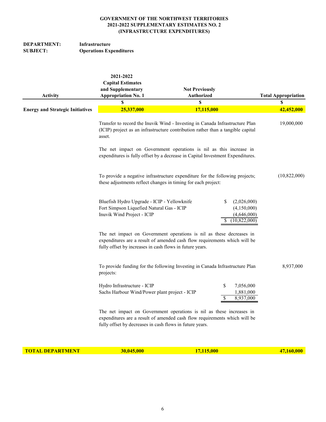# **DEPARTMENT:** Infrastructure<br>SUBJECT: Operations Exp **Operations Expenditures**

| <b>Activity</b>                         | 2021-2022<br><b>Capital Estimates</b><br>and Supplementary<br><b>Appropriation No. 1</b>                               | <b>Not Previously</b><br><b>Authorized</b>                                                                                                                      | <b>Total Appropriation</b>                                |
|-----------------------------------------|------------------------------------------------------------------------------------------------------------------------|-----------------------------------------------------------------------------------------------------------------------------------------------------------------|-----------------------------------------------------------|
| <b>Energy and Strategic Initiatives</b> | S<br>25,337,000                                                                                                        | \$<br>17,115,000                                                                                                                                                | S<br>42,452,000                                           |
|                                         | asset.                                                                                                                 | Transfer to record the Inuvik Wind - Investing in Canada Infrastructure Plan<br>(ICIP) project as an infrastructure contribution rather than a tangible capital | 19,000,000                                                |
|                                         |                                                                                                                        | The net impact on Government operations is nil as this increase in<br>expenditures is fully offset by a decrease in Capital Investment Expenditures.            |                                                           |
|                                         | these adjustments reflect changes in timing for each project:                                                          | To provide a negative infrastructure expenditure for the following projects;                                                                                    | (10,822,000)                                              |
|                                         | Bluefish Hydro Upgrade - ICIP - Yellowknife<br>Fort Simpson Liquefied Natural Gas - ICIP<br>Inuvik Wind Project - ICIP | S<br>S                                                                                                                                                          | (2,026,000)<br>(4,150,000)<br>(4,646,000)<br>(10,822,000) |
|                                         | fully offset by increases in cash flows in future years.                                                               | The net impact on Government operations is nil as these decreases in<br>expenditures are a result of amended cash flow requirements which will be               |                                                           |
|                                         | projects:                                                                                                              | To provide funding for the following Investing in Canada Infrastructure Plan                                                                                    | 8,937,000                                                 |
|                                         | Hydro Infrastructure - ICIP<br>Sachs Harbour Wind/Power plant project - ICIP                                           | \$<br>\$                                                                                                                                                        | 7,056,000<br>1,881,000<br>8,937,000                       |
|                                         | fully offset by decreases in cash flows in future years.                                                               | The net impact on Government operations is nil as these increases in<br>expenditures are a result of amended cash flow requirements which will be               |                                                           |

**TOTAL DEPARTMENT** 30,045,000 17,115,000 17,115,000 47,160,000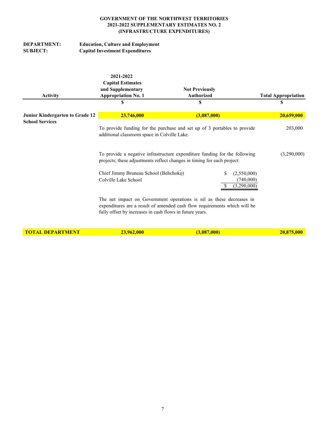| <b>DEPARTMENT:</b> | <b>Education, Culture and Employment</b> |
|--------------------|------------------------------------------|
| <b>SUBJECT:</b>    | <b>Capital Investment Expenditures</b>   |

| <b>Activity</b>                                           | 2021-2022<br><b>Capital Estimates</b><br>and Supplementary<br><b>Appropriation No. 1</b><br>S | <b>Not Previously</b><br><b>Authorized</b><br>\$                                                                                                      | <b>Total Appropriation</b><br>\$        |             |
|-----------------------------------------------------------|-----------------------------------------------------------------------------------------------|-------------------------------------------------------------------------------------------------------------------------------------------------------|-----------------------------------------|-------------|
| Junior Kindergarten to Grade 12<br><b>School Services</b> | 23,746,000                                                                                    | (3,087,000)                                                                                                                                           | 20,659,000                              |             |
|                                                           | additional classroom space in Colville Lake.                                                  | To provide funding for the purchase and set up of 3 portables to provide                                                                              |                                         | 203,000     |
|                                                           |                                                                                               | To provide a negative infrastructure expenditure funding for the following<br>projects; these adjustments reflect changes in timing for each project: |                                         | (3,290,000) |
|                                                           | Chief Jimmy Bruneau School (Behchoko)<br>Colville Lake School                                 | S                                                                                                                                                     | (2,550,000)<br>(740,000)<br>(3,290,000) |             |
|                                                           | fully offset by increases in cash flows in future years.                                      | The net impact on Government operations is nil as these decreases in<br>expenditures are a result of amended cash flow requirements which will be     |                                         |             |
| <b>TOTAL DEPARTMENT</b>                                   | 23,962,000                                                                                    | (3,087,000)                                                                                                                                           | 20,875,000                              |             |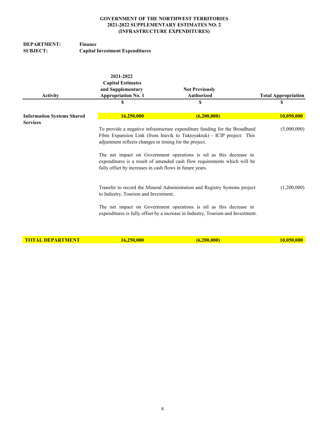# **DEPARTMENT:** Finance<br>SUBJECT: Capital **Capital Investment Expenditures**

| <b>Activity</b>                                      | 2021-2022<br><b>Capital Estimates</b><br>and Supplementary<br><b>Appropriation No. 1</b>                           | <b>Not Previously</b><br><b>Authorized</b>                                                                                                                                                                                                                                                             | <b>Total Appropriation</b> |
|------------------------------------------------------|--------------------------------------------------------------------------------------------------------------------|--------------------------------------------------------------------------------------------------------------------------------------------------------------------------------------------------------------------------------------------------------------------------------------------------------|----------------------------|
|                                                      | \$                                                                                                                 | \$                                                                                                                                                                                                                                                                                                     | \$                         |
| <b>Information Systems Shared</b><br><b>Services</b> | 16,250,000                                                                                                         | (6,200,000)                                                                                                                                                                                                                                                                                            | 10,050,000                 |
|                                                      | adjustment reflects changes in timing for the project.<br>fully offset by increases in cash flows in future years. | To provide a negative infrastructure expenditure funding for the Broadband<br>Fibre Expansion Link (from Inuvik to Tuktoyaktuk) - ICIP project: This<br>The net impact on Government operations is nil as this decrease in<br>expenditures is a result of amended cash flow requirements which will be | (5,000,000)                |
|                                                      | to Industry, Tourism and Investment.                                                                               | Transfer to record the Mineral Administration and Registry Systems project<br>The net impact on Government operations is nil as this decrease in<br>expenditures is fully offset by a increase in Industry, Tourism and Investment.                                                                    | (1,200,000)                |

**TOTAL DEPARTMENT** 16,250,000 (6,200,000) 10,050,000 10,050,000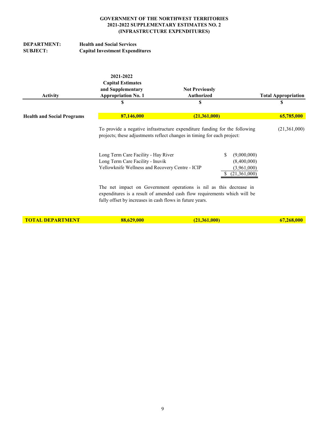# **DEPARTMENT:** Health and Social Services<br>
SUBJECT: Capital Investment Expend **Capital Investment Expenditures**

| <b>Activity</b>                   | 2021-2022<br><b>Capital Estimates</b><br>and Supplementary<br><b>Appropriation No. 1</b> | <b>Not Previously</b><br>Authorized<br>S                                                                                                              | <b>Total Appropriation</b> |
|-----------------------------------|------------------------------------------------------------------------------------------|-------------------------------------------------------------------------------------------------------------------------------------------------------|----------------------------|
|                                   | \$                                                                                       |                                                                                                                                                       | \$                         |
| <b>Health and Social Programs</b> | 87,146,000                                                                               | (21,361,000)                                                                                                                                          | 65,785,000                 |
|                                   |                                                                                          | To provide a negative infrastructure expenditure funding for the following<br>projects; these adjustments reflect changes in timing for each project: | (21,361,000)               |
|                                   | Long Term Care Facility - Hay River                                                      | S<br>(9,000,000)                                                                                                                                      |                            |
|                                   | Long Term Care Facility - Inuvik                                                         | (8,400,000)                                                                                                                                           |                            |
|                                   | Yellowknife Wellness and Recovery Centre - ICIP                                          | (3,961,000)<br>$(21,\!361,\!000)$                                                                                                                     |                            |
|                                   | fully offset by increases in cash flows in future years.                                 | The net impact on Government operations is nil as this decrease in<br>expenditures is a result of amended cash flow requirements which will be        |                            |
| <b>TOTAL DEPARTMENT</b>           | 88,629,000                                                                               | (21, 361, 000)                                                                                                                                        | 67,268,000                 |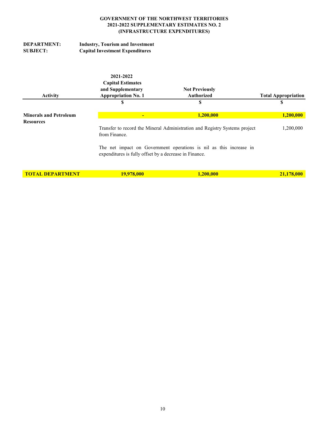| <b>DEPARTMENT:</b> | <b>Industry, Tourism and Investment</b> |
|--------------------|-----------------------------------------|
| <b>SUBJECT:</b>    | <b>Capital Investment Expenditures</b>  |

|                                                   | 2021-2022                                                                                   |                                                                    |                            |
|---------------------------------------------------|---------------------------------------------------------------------------------------------|--------------------------------------------------------------------|----------------------------|
|                                                   | <b>Capital Estimates</b>                                                                    |                                                                    |                            |
|                                                   | and Supplementary                                                                           | <b>Not Previously</b>                                              |                            |
| <b>Activity</b>                                   | <b>Appropriation No. 1</b>                                                                  | <b>Authorized</b>                                                  | <b>Total Appropriation</b> |
|                                                   | \$                                                                                          | S                                                                  | S                          |
| <b>Minerals and Petroleum</b><br><b>Resources</b> |                                                                                             | 1,200,000                                                          | 1,200,000                  |
|                                                   | Transfer to record the Mineral Administration and Registry Systems project<br>from Finance. | 1,200,000                                                          |                            |
|                                                   | expenditures is fully offset by a decrease in Finance.                                      | The net impact on Government operations is nil as this increase in |                            |
| <b>TOTAL DEPARTMENT</b>                           | 19,978,000                                                                                  | 1,200,000                                                          | 21,178,000                 |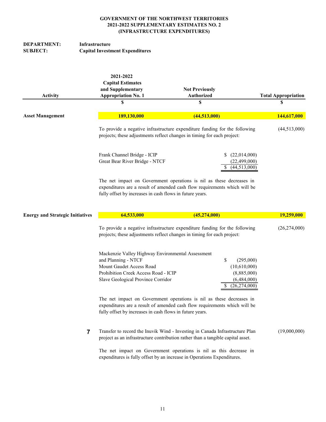| DEPARTMENT:     | Infrastructure                         |
|-----------------|----------------------------------------|
| <b>SUBJECT:</b> | <b>Capital Investment Expenditures</b> |

| <b>Activity</b>                         | 2021-2022<br><b>Capital Estimates</b><br>and Supplementary<br><b>Appropriation No. 1</b>                                                                                                                      | <b>Not Previously</b><br><b>Authorized</b> |                                                                                      | <b>Total Appropriation</b> |  |
|-----------------------------------------|---------------------------------------------------------------------------------------------------------------------------------------------------------------------------------------------------------------|--------------------------------------------|--------------------------------------------------------------------------------------|----------------------------|--|
|                                         | \$                                                                                                                                                                                                            | \$                                         |                                                                                      | \$                         |  |
| <b>Asset Management</b>                 | 189,130,000                                                                                                                                                                                                   | (44,513,000)                               |                                                                                      | 144,617,000                |  |
|                                         | To provide a negative infrastructure expenditure funding for the following<br>projects; these adjustments reflect changes in timing for each project:                                                         |                                            |                                                                                      | (44,513,000)               |  |
|                                         | Frank Channel Bridge - ICIP<br>Great Bear River Bridge - NTCF                                                                                                                                                 |                                            | (22,014,000)<br>(22, 499, 000)<br>(44,513,000)<br>S                                  |                            |  |
|                                         | The net impact on Government operations is nil as these decreases in<br>expenditures are a result of amended cash flow requirements which will be<br>fully offset by increases in cash flows in future years. |                                            |                                                                                      |                            |  |
| <b>Energy and Strategic Initiatives</b> | 64,533,000                                                                                                                                                                                                    | (45, 274, 000)                             |                                                                                      | 19,259,000                 |  |
|                                         | To provide a negative infrastructure expenditure funding for the following<br>projects; these adjustments reflect changes in timing for each project:                                                         | (26,274,000)                               |                                                                                      |                            |  |
|                                         | Mackenzie Valley Highway Environmental Assessment<br>and Planning - NTCF<br>Mount Gaudet Access Road<br>Prohibition Creek Access Road - ICIP<br>Slave Geological Province Corridor                            |                                            | \$<br>(295,000)<br>(10,610,000)<br>(8,885,000)<br>(6,484,000)<br>(26, 274, 000)<br>S |                            |  |
|                                         | The net impact on Government operations is nil as these decreases in<br>expenditures are a result of amended cash flow requirements which will be<br>fully offset by increases in cash flows in future years. |                                            |                                                                                      |                            |  |
|                                         | Transfer to record the Inuvik Wind - Investing in Canada Infrastructure Plan<br>project as an infrastructure contribution rather than a tangible capital asset.                                               |                                            |                                                                                      | (19,000,000)               |  |
|                                         | The net impact on Government operations is nil as this decrease in<br>expenditures is fully offset by an increase in Operations Expenditures.                                                                 |                                            |                                                                                      |                            |  |